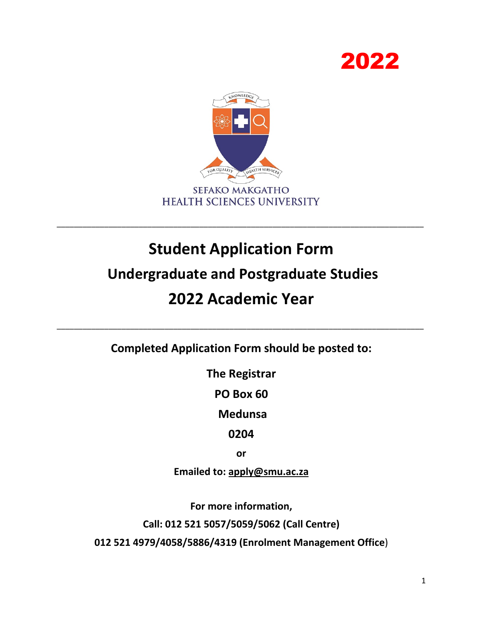



# **Student Application Form**

\_\_\_\_\_\_\_\_\_\_\_\_\_\_\_\_\_\_\_\_\_\_\_\_\_\_\_\_\_\_\_\_\_\_\_\_\_\_\_\_\_\_\_\_\_\_\_\_\_\_\_\_\_\_\_\_\_\_\_\_\_\_\_\_\_\_\_\_\_\_\_\_\_\_\_\_\_\_\_\_\_\_\_\_\_

### **Undergraduate and Postgraduate Studies**

## **2022 Academic Year**

**Completed Application Form should be posted to:**

\_\_\_\_\_\_\_\_\_\_\_\_\_\_\_\_\_\_\_\_\_\_\_\_\_\_\_\_\_\_\_\_\_\_\_\_\_\_\_\_\_\_\_\_\_\_\_\_\_\_\_\_\_\_\_\_\_\_\_\_\_\_\_\_\_\_\_\_\_\_\_\_\_\_\_\_\_\_\_\_\_\_\_\_\_

**The Registrar** 

**PO Box 60**

**Medunsa** 

**0204**

**or** 

**Emailed to: apply@smu.ac.za** 

**For more information,** 

**Call: 012 521 5057/5059/5062 (Call Centre)**

**012 521 4979/4058/5886/4319 (Enrolment Management Office**)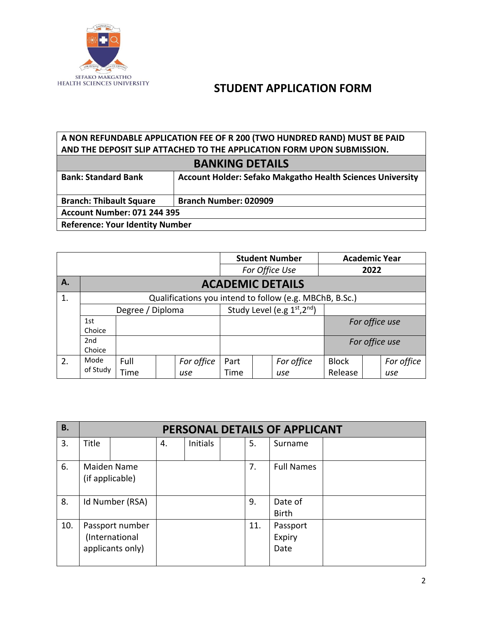

#### **A NON REFUNDABLE APPLICATION FEE OF R 200 (TWO HUNDRED RAND) MUST BE PAID AND THE DEPOSIT SLIP ATTACHED TO THE APPLICATION FORM UPON SUBMISSION. BANKING DETAILS**

| <b>BANKING DETAILS</b>                                                                          |                                    |  |  |  |  |  |  |
|-------------------------------------------------------------------------------------------------|------------------------------------|--|--|--|--|--|--|
| <b>Account Holder: Sefako Makgatho Health Sciences University</b><br><b>Bank: Standard Bank</b> |                                    |  |  |  |  |  |  |
| <b>Branch: Thibault Square</b>                                                                  | <b>Branch Number: 020909</b>       |  |  |  |  |  |  |
|                                                                                                 | <b>Account Number: 071 244 395</b> |  |  |  |  |  |  |
| <b>Reference: Your Identity Number</b>                                                          |                                    |  |  |  |  |  |  |

|                |          |                         |  |                            |                |  | <b>Student Number</b>                                   |                | <b>Academic Year</b> |            |  |
|----------------|----------|-------------------------|--|----------------------------|----------------|--|---------------------------------------------------------|----------------|----------------------|------------|--|
|                |          |                         |  |                            | For Office Use |  |                                                         | 2022           |                      |            |  |
| <b>A.</b>      |          | <b>ACADEMIC DETAILS</b> |  |                            |                |  |                                                         |                |                      |            |  |
| $\mathbf{1}$ . |          |                         |  |                            |                |  | Qualifications you intend to follow (e.g. MBChB, B.Sc.) |                |                      |            |  |
|                |          | Degree / Diploma        |  | Study Level (e.g 1st, 2nd) |                |  |                                                         |                |                      |            |  |
|                | 1st      |                         |  |                            |                |  |                                                         |                | For office use       |            |  |
|                | Choice   |                         |  |                            |                |  |                                                         |                |                      |            |  |
|                | 2nd      |                         |  |                            |                |  |                                                         | For office use |                      |            |  |
|                | Choice   |                         |  |                            |                |  |                                                         |                |                      |            |  |
| 2.             | Mode     | Full                    |  | For office                 | Part           |  | For office                                              | <b>Block</b>   |                      | For office |  |
|                | of Study | Time                    |  | use                        | Time           |  | use                                                     | Release        |                      | use        |  |

| <b>B.</b> |                                                       | PERSONAL DETAILS OF APPLICANT |    |                 |  |     |                            |  |  |
|-----------|-------------------------------------------------------|-------------------------------|----|-----------------|--|-----|----------------------------|--|--|
| 3.        | Title                                                 |                               | 4. | <b>Initials</b> |  | 5.  | Surname                    |  |  |
| 6.        | <b>Maiden Name</b><br>(if applicable)                 |                               |    |                 |  | 7.  | <b>Full Names</b>          |  |  |
| 8.        | Id Number (RSA)                                       |                               |    |                 |  | 9.  | Date of<br><b>Birth</b>    |  |  |
| 10.       | Passport number<br>(International<br>applicants only) |                               |    |                 |  | 11. | Passport<br>Expiry<br>Date |  |  |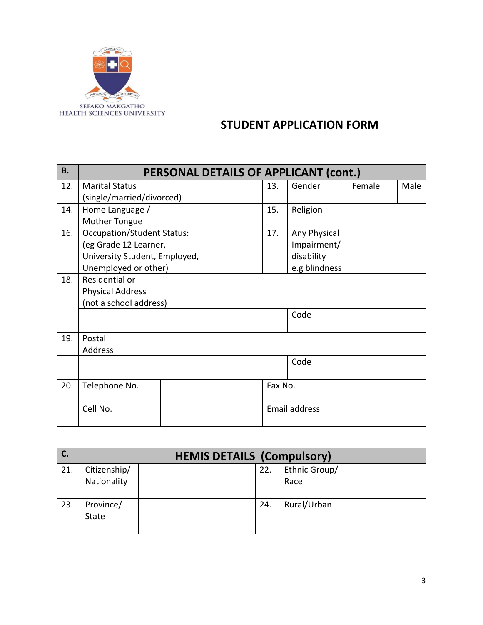

| <b>B.</b> |                                   | PERSONAL DETAILS OF APPLICANT (cont.) |  |               |                      |        |      |  |  |
|-----------|-----------------------------------|---------------------------------------|--|---------------|----------------------|--------|------|--|--|
| 12.       | <b>Marital Status</b>             |                                       |  | 13.           | Gender               | Female | Male |  |  |
|           | (single/married/divorced)         |                                       |  |               |                      |        |      |  |  |
| 14.       | Home Language /                   |                                       |  | 15.           | Religion             |        |      |  |  |
|           | Mother Tongue                     |                                       |  |               |                      |        |      |  |  |
| 16.       | <b>Occupation/Student Status:</b> |                                       |  | 17.           | Any Physical         |        |      |  |  |
|           | (eg Grade 12 Learner,             |                                       |  |               | Impairment/          |        |      |  |  |
|           | University Student, Employed,     |                                       |  |               | disability           |        |      |  |  |
|           | Unemployed or other)              |                                       |  | e.g blindness |                      |        |      |  |  |
| 18.       | Residential or                    |                                       |  |               |                      |        |      |  |  |
|           | <b>Physical Address</b>           |                                       |  |               |                      |        |      |  |  |
|           | (not a school address)            |                                       |  |               |                      |        |      |  |  |
|           |                                   |                                       |  |               | Code                 |        |      |  |  |
|           |                                   |                                       |  |               |                      |        |      |  |  |
| 19.       | Postal                            |                                       |  |               |                      |        |      |  |  |
|           | Address                           |                                       |  |               |                      |        |      |  |  |
|           |                                   |                                       |  |               | Code                 |        |      |  |  |
|           |                                   |                                       |  |               |                      |        |      |  |  |
| 20.       | Telephone No.                     |                                       |  | Fax No.       |                      |        |      |  |  |
|           |                                   |                                       |  |               |                      |        |      |  |  |
|           | Cell No.                          |                                       |  |               | <b>Email address</b> |        |      |  |  |
|           |                                   |                                       |  |               |                      |        |      |  |  |

| C.  | <b>HEMIS DETAILS (Compulsory)</b> |  |     |               |  |  |
|-----|-----------------------------------|--|-----|---------------|--|--|
| 21. | Citizenship/                      |  | 22. | Ethnic Group/ |  |  |
|     | Nationality                       |  |     | Race          |  |  |
| 23. | Province/                         |  | 24. | Rural/Urban   |  |  |
|     | State                             |  |     |               |  |  |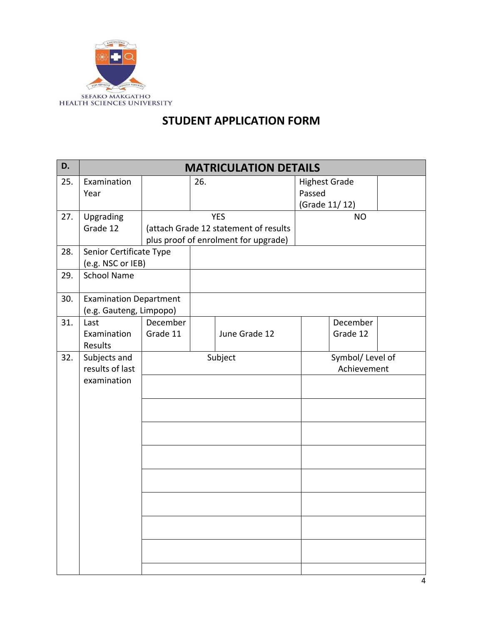

| D.  | <b>MATRICULATION DETAILS</b>  |          |     |                                       |                      |                  |  |  |
|-----|-------------------------------|----------|-----|---------------------------------------|----------------------|------------------|--|--|
| 25. | Examination                   |          | 26. |                                       | <b>Highest Grade</b> |                  |  |  |
|     | Year                          |          |     |                                       | Passed               |                  |  |  |
|     |                               |          |     |                                       | (Grade 11/12)        |                  |  |  |
| 27. | Upgrading                     |          |     | <b>YES</b>                            |                      | <b>NO</b>        |  |  |
|     | Grade 12                      |          |     | (attach Grade 12 statement of results |                      |                  |  |  |
|     |                               |          |     | plus proof of enrolment for upgrade)  |                      |                  |  |  |
| 28. | Senior Certificate Type       |          |     |                                       |                      |                  |  |  |
|     | (e.g. NSC or IEB)             |          |     |                                       |                      |                  |  |  |
| 29. | <b>School Name</b>            |          |     |                                       |                      |                  |  |  |
| 30. | <b>Examination Department</b> |          |     |                                       |                      |                  |  |  |
|     | (e.g. Gauteng, Limpopo)       |          |     |                                       |                      |                  |  |  |
| 31. | Last                          | December |     |                                       |                      | December         |  |  |
|     | Examination                   | Grade 11 |     | June Grade 12                         |                      | Grade 12         |  |  |
|     | Results                       |          |     |                                       |                      |                  |  |  |
| 32. | Subjects and                  |          |     | Subject                               |                      | Symbol/ Level of |  |  |
|     | results of last               |          |     |                                       |                      | Achievement      |  |  |
|     | examination                   |          |     |                                       |                      |                  |  |  |
|     |                               |          |     |                                       |                      |                  |  |  |
|     |                               |          |     |                                       |                      |                  |  |  |
|     |                               |          |     |                                       |                      |                  |  |  |
|     |                               |          |     |                                       |                      |                  |  |  |
|     |                               |          |     |                                       |                      |                  |  |  |
|     |                               |          |     |                                       |                      |                  |  |  |
|     |                               |          |     |                                       |                      |                  |  |  |
|     |                               |          |     |                                       |                      |                  |  |  |
|     |                               |          |     |                                       |                      |                  |  |  |
|     |                               |          |     |                                       |                      |                  |  |  |
|     |                               |          |     |                                       |                      |                  |  |  |
|     |                               |          |     |                                       |                      |                  |  |  |
|     |                               |          |     |                                       |                      |                  |  |  |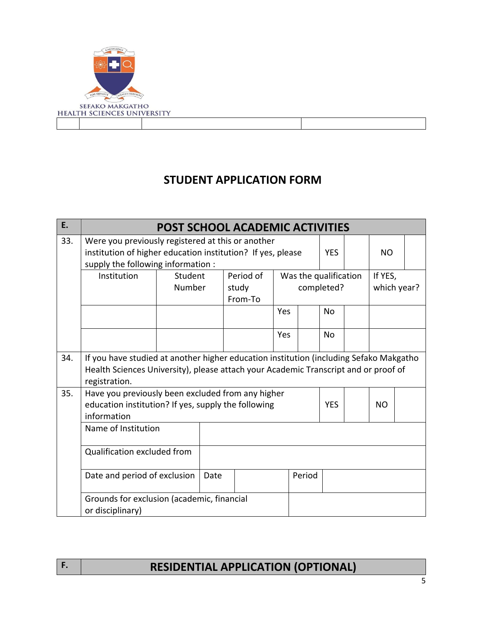

| E.  |                                                                                                                                                                                                | <b>POST SCHOOL ACADEMIC ACTIVITIES</b> |      |                               |     |        |                                     |  |                        |  |
|-----|------------------------------------------------------------------------------------------------------------------------------------------------------------------------------------------------|----------------------------------------|------|-------------------------------|-----|--------|-------------------------------------|--|------------------------|--|
| 33. | Were you previously registered at this or another<br>institution of higher education institution? If yes, please<br>supply the following information :                                         |                                        |      |                               |     |        | <b>YES</b>                          |  | <b>NO</b>              |  |
|     | Institution                                                                                                                                                                                    | Student<br>Number                      |      | Period of<br>study<br>From-To |     |        | Was the qualification<br>completed? |  | If YES,<br>which year? |  |
|     |                                                                                                                                                                                                |                                        |      |                               | Yes |        | No                                  |  |                        |  |
|     |                                                                                                                                                                                                |                                        |      |                               | Yes |        | <b>No</b>                           |  |                        |  |
| 34. | If you have studied at another higher education institution (including Sefako Makgatho<br>Health Sciences University), please attach your Academic Transcript and or proof of<br>registration. |                                        |      |                               |     |        |                                     |  |                        |  |
| 35. | Have you previously been excluded from any higher<br>education institution? If yes, supply the following<br>information                                                                        |                                        |      |                               |     |        | <b>YES</b>                          |  | <b>NO</b>              |  |
|     | Name of Institution                                                                                                                                                                            |                                        |      |                               |     |        |                                     |  |                        |  |
|     | Qualification excluded from                                                                                                                                                                    |                                        |      |                               |     |        |                                     |  |                        |  |
|     | Date and period of exclusion                                                                                                                                                                   |                                        | Date |                               |     | Period |                                     |  |                        |  |
|     | Grounds for exclusion (academic, financial<br>or disciplinary)                                                                                                                                 |                                        |      |                               |     |        |                                     |  |                        |  |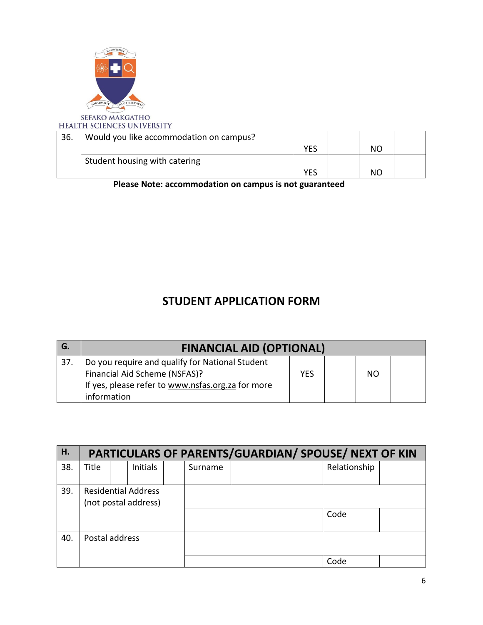

SEFAKO MAKGATHO<br>HEALTH SCIENCES UNIVERSITY

| 36. | Would you like accommodation on campus? |            |    |  |
|-----|-----------------------------------------|------------|----|--|
|     |                                         | <b>YES</b> | NC |  |
|     | Student housing with catering           |            |    |  |
|     |                                         |            | ΝO |  |

**Please Note: accommodation on campus is not guaranteed**

| G.  | <b>FINANCIAL AID (OPTIONAL)</b>                   |     |  |    |  |  |  |
|-----|---------------------------------------------------|-----|--|----|--|--|--|
| 37. | Do you require and qualify for National Student   |     |  |    |  |  |  |
|     | Financial Aid Scheme (NSFAS)?                     | YES |  | NO |  |  |  |
|     | If yes, please refer to www.nsfas.org.za for more |     |  |    |  |  |  |
|     | information                                       |     |  |    |  |  |  |

| Н.  |                | PARTICULARS OF PARENTS/GUARDIAN/ SPOUSE/ NEXT OF KIN |                                                    |  |         |  |              |  |  |  |  |
|-----|----------------|------------------------------------------------------|----------------------------------------------------|--|---------|--|--------------|--|--|--|--|
| 38. | Title          |                                                      | <b>Initials</b>                                    |  | Surname |  | Relationship |  |  |  |  |
| 39. |                |                                                      | <b>Residential Address</b><br>(not postal address) |  |         |  |              |  |  |  |  |
|     |                |                                                      |                                                    |  |         |  | Code         |  |  |  |  |
| 40. | Postal address |                                                      |                                                    |  |         |  |              |  |  |  |  |
|     |                |                                                      |                                                    |  |         |  | Code         |  |  |  |  |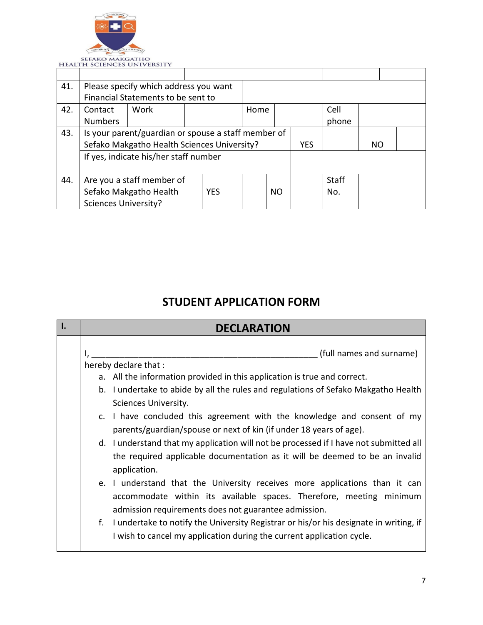

|     |                                      | I LALI II SULLIVULS UNIVERSITI                      |  |      |    |            |       |           |  |
|-----|--------------------------------------|-----------------------------------------------------|--|------|----|------------|-------|-----------|--|
|     |                                      |                                                     |  |      |    |            |       |           |  |
| 41. |                                      | Please specify which address you want               |  |      |    |            |       |           |  |
|     |                                      | Financial Statements to be sent to                  |  |      |    |            |       |           |  |
| 42. | Contact                              | Work                                                |  | Home |    |            | Cell  |           |  |
|     | <b>Numbers</b>                       |                                                     |  |      |    |            | phone |           |  |
| 43. |                                      | Is your parent/guardian or spouse a staff member of |  |      |    |            |       |           |  |
|     |                                      | Sefako Makgatho Health Sciences University?         |  |      |    | <b>YES</b> |       | <b>NO</b> |  |
|     |                                      | If yes, indicate his/her staff number               |  |      |    |            |       |           |  |
|     |                                      |                                                     |  |      |    |            |       |           |  |
| 44. |                                      | Are you a staff member of                           |  |      |    |            | Staff |           |  |
|     | Sefako Makgatho Health<br><b>YES</b> |                                                     |  |      | NO |            | No.   |           |  |
|     | <b>Sciences University?</b>          |                                                     |  |      |    |            |       |           |  |

| <b>DECLARATION</b>                                                                                                                                                                                                                                                                                                                                                                                                                                                                                                                                                                   |
|--------------------------------------------------------------------------------------------------------------------------------------------------------------------------------------------------------------------------------------------------------------------------------------------------------------------------------------------------------------------------------------------------------------------------------------------------------------------------------------------------------------------------------------------------------------------------------------|
| (full names and surname)<br>hereby declare that :<br>a. All the information provided in this application is true and correct.<br>b. I undertake to abide by all the rules and regulations of Sefako Makgatho Health<br>Sciences University.<br>c. I have concluded this agreement with the knowledge and consent of my<br>parents/guardian/spouse or next of kin (if under 18 years of age).<br>d. I understand that my application will not be processed if I have not submitted all<br>the required applicable documentation as it will be deemed to be an invalid<br>application. |
| e. I understand that the University receives more applications than it can<br>accommodate within its available spaces. Therefore, meeting minimum<br>admission requirements does not guarantee admission.                                                                                                                                                                                                                                                                                                                                                                            |
| f. I undertake to notify the University Registrar or his/or his designate in writing, if<br>I wish to cancel my application during the current application cycle.                                                                                                                                                                                                                                                                                                                                                                                                                    |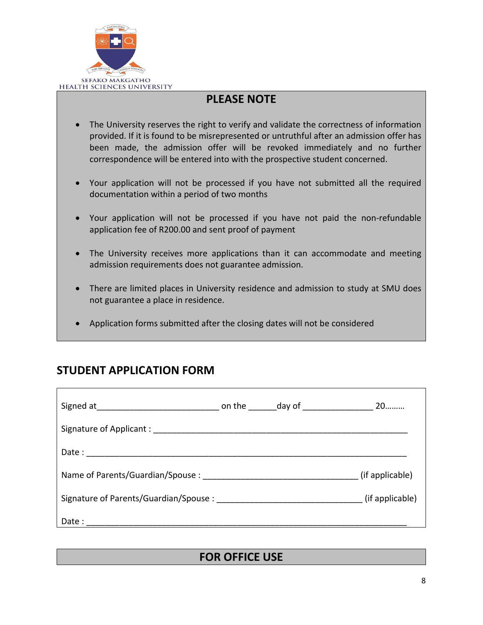

#### **PLEASE NOTE**

- The University reserves the right to verify and validate the correctness of information provided. If it is found to be misrepresented or untruthful after an admission offer has been made, the admission offer will be revoked immediately and no further correspondence will be entered into with the prospective student concerned.
- Your application will not be processed if you have not submitted all the required documentation within a period of two months
- Your application will not be processed if you have not paid the non-refundable application fee of R200.00 and sent proof of payment
- The University receives more applications than it can accommodate and meeting admission requirements does not guarantee admission.
- There are limited places in University residence and admission to study at SMU does not guarantee a place in residence.
- Application forms submitted after the closing dates will not be considered

#### **STUDENT APPLICATION FORM**

| Name of Parents/Guardian/Spouse:                                                                                                                                                                                               |  | (if applicable) |
|--------------------------------------------------------------------------------------------------------------------------------------------------------------------------------------------------------------------------------|--|-----------------|
| Signature of Parents/Guardian/Spouse : The Contract of Signature of Parents/Guardian/Spouse : The Co                                                                                                                           |  |                 |
| Date: the contract of the contract of the contract of the contract of the contract of the contract of the contract of the contract of the contract of the contract of the contract of the contract of the contract of the cont |  |                 |

#### **FOR OFFICE USE**